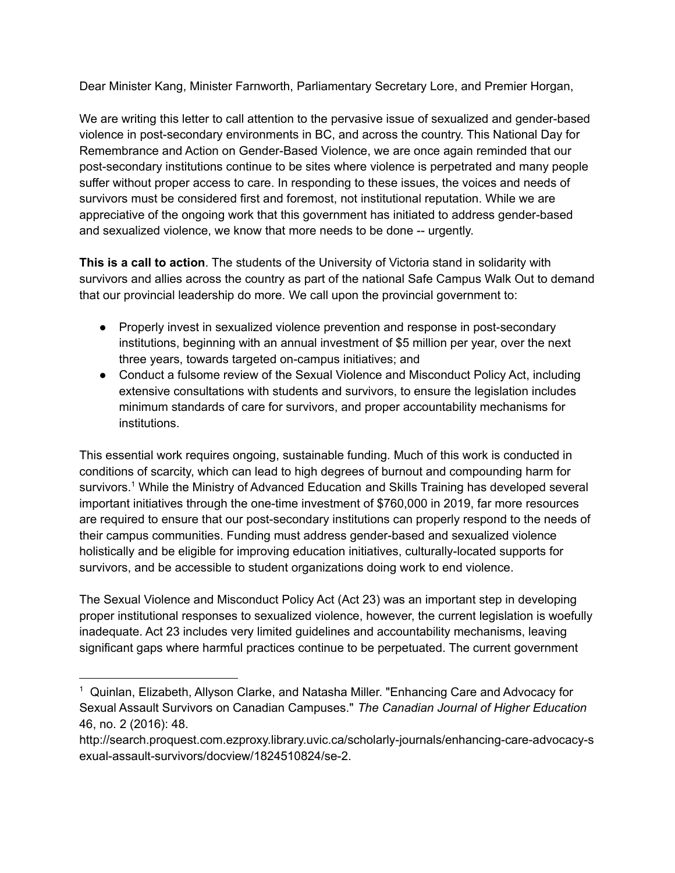Dear Minister Kang, Minister Farnworth, Parliamentary Secretary Lore, and Premier Horgan,

We are writing this letter to call attention to the pervasive issue of sexualized and gender-based violence in post-secondary environments in BC, and across the country. This National Day for Remembrance and Action on Gender-Based Violence, we are once again reminded that our post-secondary institutions continue to be sites where violence is perpetrated and many people suffer without proper access to care. In responding to these issues, the voices and needs of survivors must be considered first and foremost, not institutional reputation. While we are appreciative of the ongoing work that this government has initiated to address gender-based and sexualized violence, we know that more needs to be done -- urgently.

**This is a call to action**. The students of the University of Victoria stand in solidarity with survivors and allies across the country as part of the national Safe Campus Walk Out to demand that our provincial leadership do more. We call upon the provincial government to:

- Properly invest in sexualized violence prevention and response in post-secondary institutions, beginning with an annual investment of \$5 million per year, over the next three years, towards targeted on-campus initiatives; and
- Conduct a fulsome review of the Sexual Violence and Misconduct Policy Act, including extensive consultations with students and survivors, to ensure the legislation includes minimum standards of care for survivors, and proper accountability mechanisms for institutions.

This essential work requires ongoing, sustainable funding. Much of this work is conducted in conditions of scarcity, which can lead to high degrees of burnout and compounding harm for survivors. <sup>1</sup> While the Ministry of Advanced Education and Skills Training has developed several important initiatives through the one-time investment of \$760,000 in 2019, far more resources are required to ensure that our post-secondary institutions can properly respond to the needs of their campus communities. Funding must address gender-based and sexualized violence holistically and be eligible for improving education initiatives, culturally-located supports for survivors, and be accessible to student organizations doing work to end violence.

The Sexual Violence and Misconduct Policy Act (Act 23) was an important step in developing proper institutional responses to sexualized violence, however, the current legislation is woefully inadequate. Act 23 includes very limited guidelines and accountability mechanisms, leaving significant gaps where harmful practices continue to be perpetuated. The current government

<sup>&</sup>lt;sup>1</sup> Quinlan, Elizabeth, Allyson Clarke, and Natasha Miller. "Enhancing Care and Advocacy for Sexual Assault Survivors on Canadian Campuses." *The Canadian Journal of Higher Education* 46, no. 2 (2016): 48.

http://search.proquest.com.ezproxy.library.uvic.ca/scholarly-journals/enhancing-care-advocacy-s exual-assault-survivors/docview/1824510824/se-2.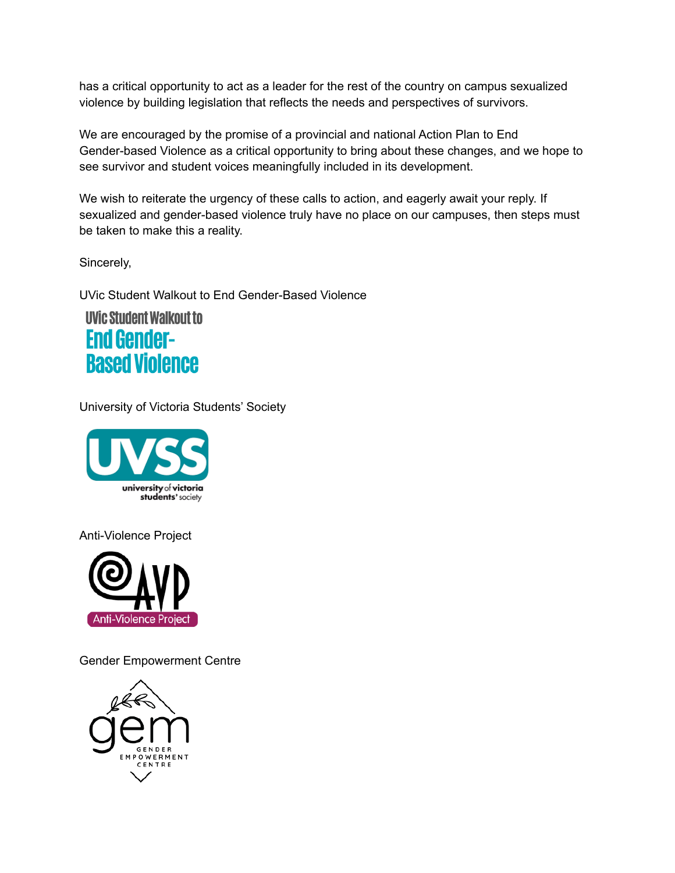has a critical opportunity to act as a leader for the rest of the country on campus sexualized violence by building legislation that reflects the needs and perspectives of survivors.

We are encouraged by the promise of a provincial and national Action Plan to End Gender-based Violence as a critical opportunity to bring about these changes, and we hope to see survivor and student voices meaningfully included in its development.

We wish to reiterate the urgency of these calls to action, and eagerly await your reply. If sexualized and gender-based violence truly have no place on our campuses, then steps must be taken to make this a reality.

Sincerely,

UVic Student Walkout to End Gender-Based Violence

**UVic Student Walkout to End Gender-Based Violence** 

University of Victoria Students' Society



Anti-Violence Project



Gender Empowerment Centre